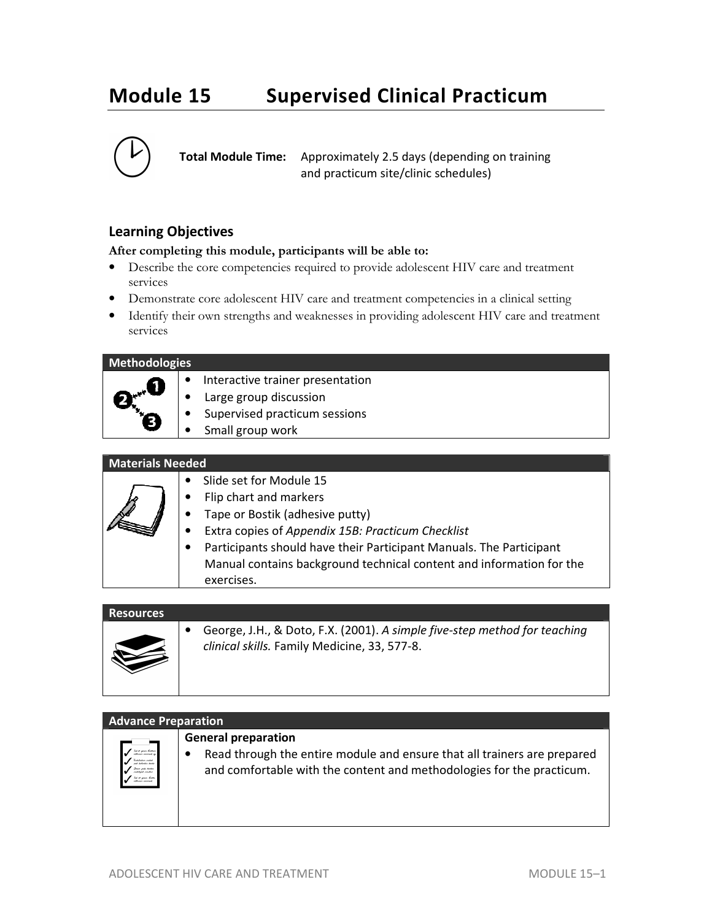# **Module 15 Supervised Clinical Practicum**



**Total Module Time:** Approximately 2.5 days (depending on training and practicum site/clinic schedules)

### **Learning Objectives**

#### **After completing this module, participants will be able to:**

- Describe the core competencies required to provide adolescent HIV care and treatment services
- Demonstrate core adolescent HIV care and treatment competencies in a clinical setting
- Identify their own strengths and weaknesses in providing adolescent HIV care and treatment services

| <b>Methodologies</b> |                                  |
|----------------------|----------------------------------|
|                      | Interactive trainer presentation |
|                      | Large group discussion           |
|                      | Supervised practicum sessions    |
|                      | Small group work                 |

#### **Materials Needed**

| Slide set for Module 15                                              |
|----------------------------------------------------------------------|
| Flip chart and markers                                               |
| Tape or Bostik (adhesive putty)                                      |
| Extra copies of Appendix 15B: Practicum Checklist                    |
| Participants should have their Participant Manuals. The Participant  |
| Manual contains background technical content and information for the |
| exercises.                                                           |

### **Resources**



• George, J.H., & Doto, F.X. (2001). *A simple five-step method for teaching clinical skills.* Family Medicine, 33, 577-8.

| <b>Advance Preparation</b>                                        |                                                                                                                                                   |
|-------------------------------------------------------------------|---------------------------------------------------------------------------------------------------------------------------------------------------|
|                                                                   | <b>General preparation</b>                                                                                                                        |
| -lat at gram butcher<br>-collains animal es<br>had at gram bridde | Read through the entire module and ensure that all trainers are prepared<br>and comfortable with the content and methodologies for the practicum. |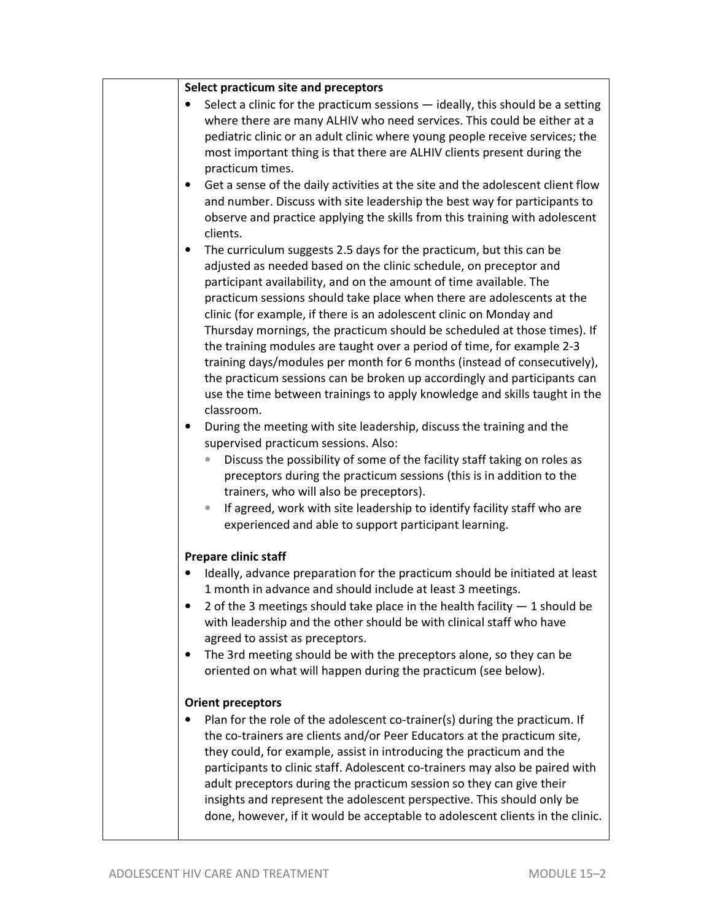|           | Select practicum site and preceptors                                                                                                            |
|-----------|-------------------------------------------------------------------------------------------------------------------------------------------------|
|           | Select a clinic for the practicum sessions - ideally, this should be a setting                                                                  |
|           | where there are many ALHIV who need services. This could be either at a                                                                         |
|           | pediatric clinic or an adult clinic where young people receive services; the                                                                    |
|           | most important thing is that there are ALHIV clients present during the                                                                         |
|           | practicum times.                                                                                                                                |
| $\bullet$ | Get a sense of the daily activities at the site and the adolescent client flow                                                                  |
|           | and number. Discuss with site leadership the best way for participants to                                                                       |
|           | observe and practice applying the skills from this training with adolescent                                                                     |
|           | clients.                                                                                                                                        |
| ٠         | The curriculum suggests 2.5 days for the practicum, but this can be                                                                             |
|           | adjusted as needed based on the clinic schedule, on preceptor and                                                                               |
|           | participant availability, and on the amount of time available. The                                                                              |
|           | practicum sessions should take place when there are adolescents at the                                                                          |
|           | clinic (for example, if there is an adolescent clinic on Monday and<br>Thursday mornings, the practicum should be scheduled at those times). If |
|           | the training modules are taught over a period of time, for example 2-3                                                                          |
|           | training days/modules per month for 6 months (instead of consecutively),                                                                        |
|           | the practicum sessions can be broken up accordingly and participants can                                                                        |
|           | use the time between trainings to apply knowledge and skills taught in the                                                                      |
|           | classroom.                                                                                                                                      |
|           | During the meeting with site leadership, discuss the training and the                                                                           |
|           | supervised practicum sessions. Also:                                                                                                            |
|           | Discuss the possibility of some of the facility staff taking on roles as                                                                        |
|           | preceptors during the practicum sessions (this is in addition to the                                                                            |
|           | trainers, who will also be preceptors).                                                                                                         |
|           | If agreed, work with site leadership to identify facility staff who are                                                                         |
|           | experienced and able to support participant learning.                                                                                           |
|           | Prepare clinic staff                                                                                                                            |
|           | Ideally, advance preparation for the practicum should be initiated at least                                                                     |
|           | 1 month in advance and should include at least 3 meetings.                                                                                      |
|           | 2 of the 3 meetings should take place in the health facility $-1$ should be                                                                     |
|           | with leadership and the other should be with clinical staff who have                                                                            |
|           | agreed to assist as preceptors.                                                                                                                 |
|           | The 3rd meeting should be with the preceptors alone, so they can be                                                                             |
|           | oriented on what will happen during the practicum (see below).                                                                                  |
|           | <b>Orient preceptors</b>                                                                                                                        |
|           | Plan for the role of the adolescent co-trainer(s) during the practicum. If                                                                      |
|           | the co-trainers are clients and/or Peer Educators at the practicum site,                                                                        |
|           | they could, for example, assist in introducing the practicum and the                                                                            |
|           | participants to clinic staff. Adolescent co-trainers may also be paired with                                                                    |
|           | adult preceptors during the practicum session so they can give their                                                                            |
|           | insights and represent the adolescent perspective. This should only be                                                                          |
|           | done, however, if it would be acceptable to adolescent clients in the clinic.                                                                   |
|           |                                                                                                                                                 |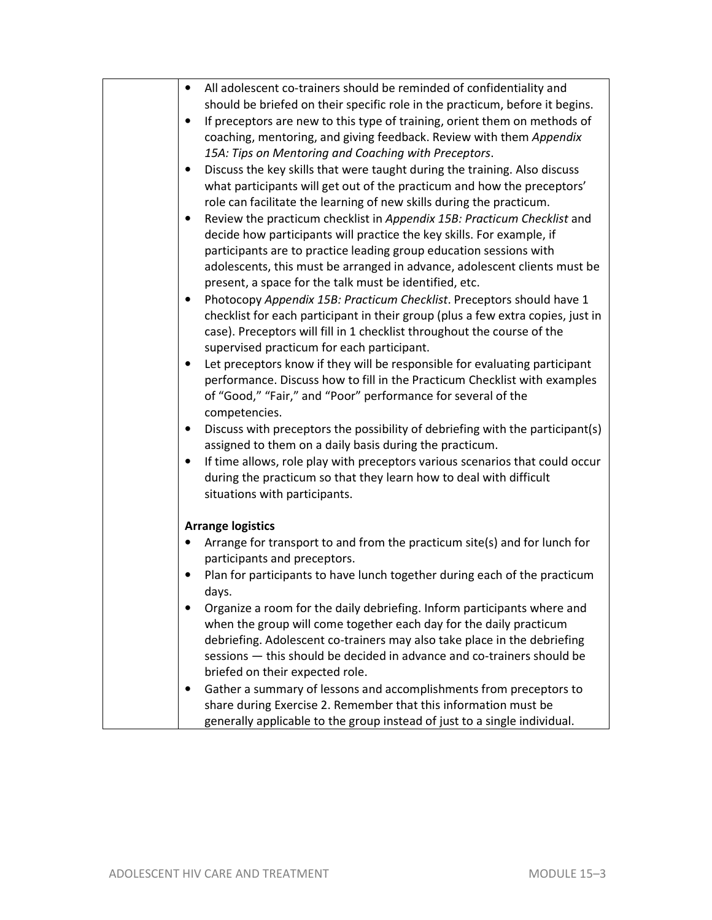| All adolescent co-trainers should be reminded of confidentiality and<br>$\bullet$               |
|-------------------------------------------------------------------------------------------------|
| should be briefed on their specific role in the practicum, before it begins.                    |
| If preceptors are new to this type of training, orient them on methods of<br>$\bullet$          |
| coaching, mentoring, and giving feedback. Review with them Appendix                             |
| 15A: Tips on Mentoring and Coaching with Preceptors.                                            |
| Discuss the key skills that were taught during the training. Also discuss<br>$\bullet$          |
| what participants will get out of the practicum and how the preceptors'                         |
| role can facilitate the learning of new skills during the practicum.                            |
| Review the practicum checklist in Appendix 15B: Practicum Checklist and<br>$\bullet$            |
| decide how participants will practice the key skills. For example, if                           |
| participants are to practice leading group education sessions with                              |
| adolescents, this must be arranged in advance, adolescent clients must be                       |
| present, a space for the talk must be identified, etc.                                          |
| Photocopy Appendix 15B: Practicum Checklist. Preceptors should have 1<br>$\bullet$              |
| checklist for each participant in their group (plus a few extra copies, just in                 |
| case). Preceptors will fill in 1 checklist throughout the course of the                         |
| supervised practicum for each participant.                                                      |
| Let preceptors know if they will be responsible for evaluating participant<br>$\bullet$         |
| performance. Discuss how to fill in the Practicum Checklist with examples                       |
| of "Good," "Fair," and "Poor" performance for several of the                                    |
| competencies.                                                                                   |
| Discuss with preceptors the possibility of debriefing with the participant(s)<br>$\bullet$      |
| assigned to them on a daily basis during the practicum.                                         |
| If time allows, role play with preceptors various scenarios that could occur<br>$\bullet$       |
| during the practicum so that they learn how to deal with difficult                              |
| situations with participants.                                                                   |
|                                                                                                 |
| <b>Arrange logistics</b>                                                                        |
| Arrange for transport to and from the practicum site(s) and for lunch for<br>$\bullet$          |
| participants and preceptors.                                                                    |
| Plan for participants to have lunch together during each of the practicum<br>$\bullet$<br>days. |
| Organize a room for the daily debriefing. Inform participants where and                         |
| when the group will come together each day for the daily practicum                              |
| debriefing. Adolescent co-trainers may also take place in the debriefing                        |
| sessions - this should be decided in advance and co-trainers should be                          |
| briefed on their expected role.                                                                 |
| Gather a summary of lessons and accomplishments from preceptors to<br>$\bullet$                 |
| share during Exercise 2. Remember that this information must be                                 |
| generally applicable to the group instead of just to a single individual.                       |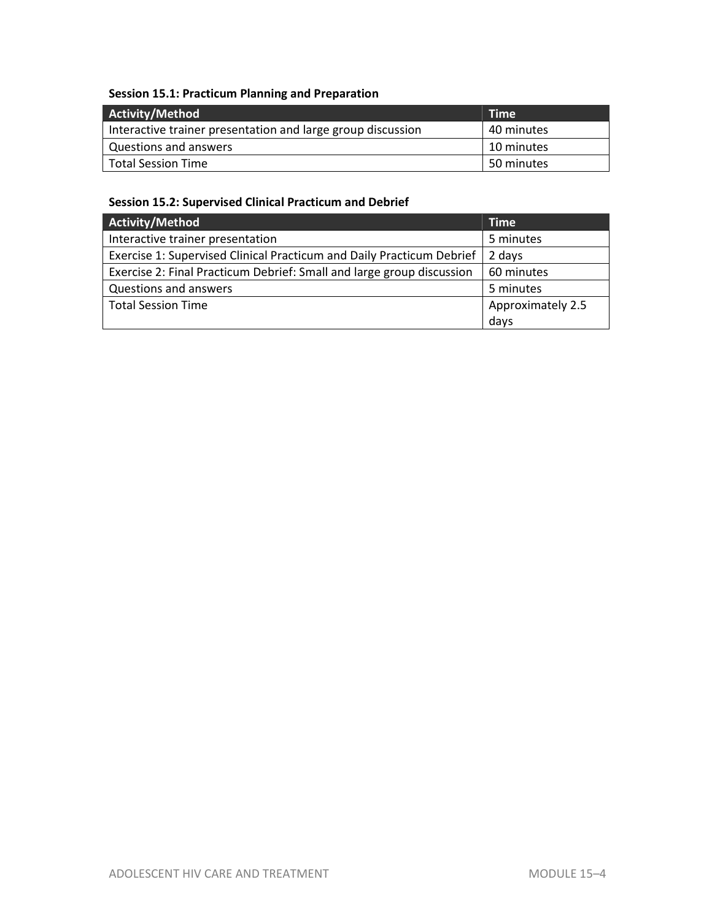## **Session 15.1: Practicum Planning and Preparation**

| Activity/Method                                             | <b>Time</b> |
|-------------------------------------------------------------|-------------|
| Interactive trainer presentation and large group discussion | 40 minutes  |
| Questions and answers                                       | 10 minutes  |
| <b>Total Session Time</b>                                   | 50 minutes  |

## **Session 15.2: Supervised Clinical Practicum and Debrief**

| Activity/Method                                                       | <b>Time</b>       |
|-----------------------------------------------------------------------|-------------------|
| Interactive trainer presentation                                      | 5 minutes         |
| Exercise 1: Supervised Clinical Practicum and Daily Practicum Debrief | 2 days            |
| Exercise 2: Final Practicum Debrief: Small and large group discussion | 60 minutes        |
| Questions and answers                                                 | 5 minutes         |
| <b>Total Session Time</b>                                             | Approximately 2.5 |
|                                                                       | days              |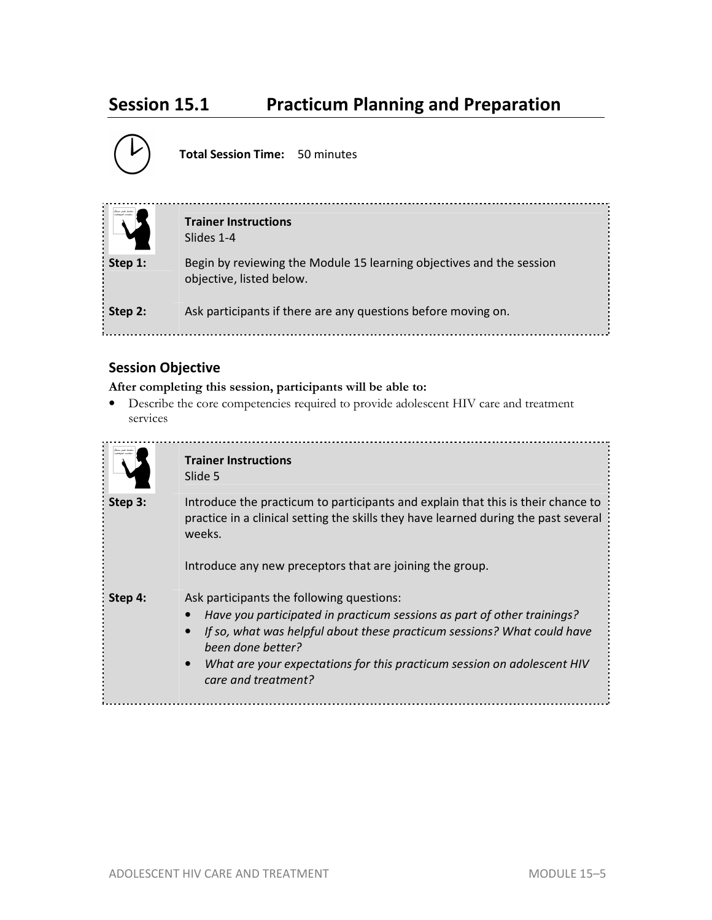## **Session 15.1 Practicum Planning and Preparation**



**Total Session Time:** 50 minutes

| .<br>Ginn poli trito<br>related rocks | <b>Trainer Instructions</b><br>Slides 1-4                                                        |
|---------------------------------------|--------------------------------------------------------------------------------------------------|
| Step 1:                               | Begin by reviewing the Module 15 learning objectives and the session<br>objective, listed below. |
| Step 2:                               | Ask participants if there are any questions before moving on.                                    |

## **Session Objective**

**After completing this session, participants will be able to:**

• Describe the core competencies required to provide adolescent HIV care and treatment services

|         | <b>Trainer Instructions</b><br>Slide 5                                                                                                                                                                                                                                                                                                           |
|---------|--------------------------------------------------------------------------------------------------------------------------------------------------------------------------------------------------------------------------------------------------------------------------------------------------------------------------------------------------|
| Step 3: | Introduce the practicum to participants and explain that this is their chance to<br>practice in a clinical setting the skills they have learned during the past several<br>weeks.<br>Introduce any new preceptors that are joining the group.                                                                                                    |
| Step 4: | Ask participants the following questions:<br>Have you participated in practicum sessions as part of other trainings?<br>If so, what was helpful about these practicum sessions? What could have<br>$\bullet$<br>been done better?<br>What are your expectations for this practicum session on adolescent HIV<br>$\bullet$<br>care and treatment? |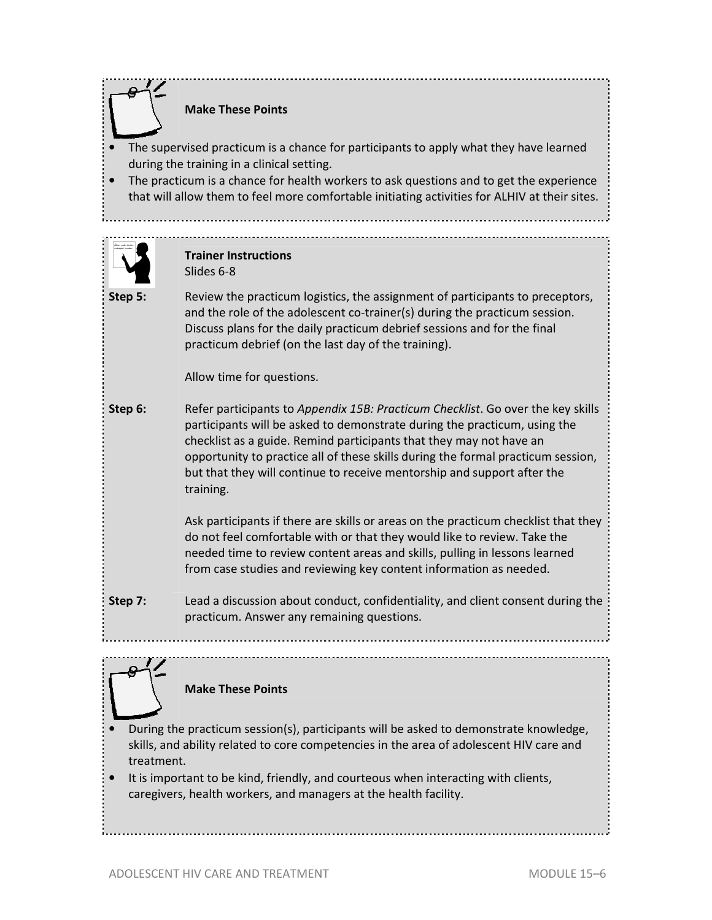**Trainer Instructions**  Slides 6-8 **Make These Points**  The supervised practicum is a chance for participants to apply what they have learned during the training in a clinical setting. • The practicum is a chance for health workers to ask questions and to get the experience that will allow them to feel more comfortable initiating activities for ALHIV at their sites.

**Step 5:** Review the practicum logistics, the assignment of participants to preceptors, and the role of the adolescent co-trainer(s) during the practicum session. Discuss plans for the daily practicum debrief sessions and for the final practicum debrief (on the last day of the training).

Allow time for questions.

**Step 6:** Refer participants to *Appendix 15B: Practicum Checklist*. Go over the key skills participants will be asked to demonstrate during the practicum, using the checklist as a guide. Remind participants that they may not have an opportunity to practice all of these skills during the formal practicum session, but that they will continue to receive mentorship and support after the training.

> Ask participants if there are skills or areas on the practicum checklist that they do not feel comfortable with or that they would like to review. Take the needed time to review content areas and skills, pulling in lessons learned from case studies and reviewing key content information as needed.

**Step 7:** Lead a discussion about conduct, confidentiality, and client consent during the practicum. Answer any remaining questions.



**Make These Points** 

- During the practicum session(s), participants will be asked to demonstrate knowledge, skills, and ability related to core competencies in the area of adolescent HIV care and treatment.
- It is important to be kind, friendly, and courteous when interacting with clients, caregivers, health workers, and managers at the health facility.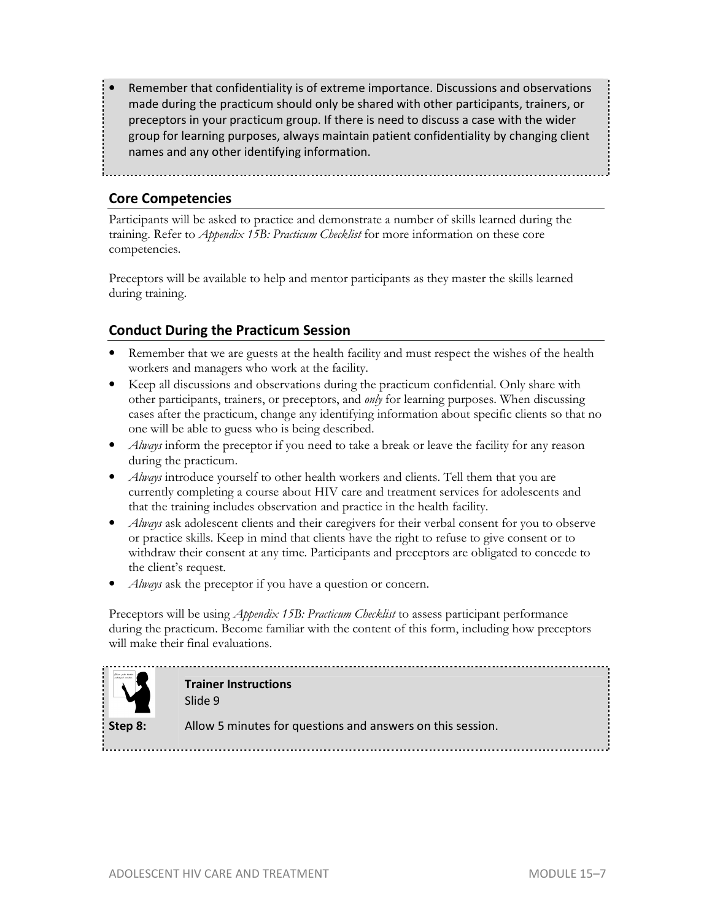• Remember that confidentiality is of extreme importance. Discussions and observations made during the practicum should only be shared with other participants, trainers, or preceptors in your practicum group. If there is need to discuss a case with the wider group for learning purposes, always maintain patient confidentiality by changing client names and any other identifying information.

**Core Competencies** 

Participants will be asked to practice and demonstrate a number of skills learned during the training. Refer to *Appendix 15B: Practicum Checklist* for more information on these core competencies.

Preceptors will be available to help and mentor participants as they master the skills learned during training.

## **Conduct During the Practicum Session**

- Remember that we are guests at the health facility and must respect the wishes of the health workers and managers who work at the facility.
- Keep all discussions and observations during the practicum confidential. Only share with other participants, trainers, or preceptors, and *only* for learning purposes. When discussing cases after the practicum, change any identifying information about specific clients so that no one will be able to guess who is being described.
- *Always* inform the preceptor if you need to take a break or leave the facility for any reason during the practicum.
- *Always* introduce yourself to other health workers and clients. Tell them that you are currently completing a course about HIV care and treatment services for adolescents and that the training includes observation and practice in the health facility.
- *Always* ask adolescent clients and their caregivers for their verbal consent for you to observe or practice skills. Keep in mind that clients have the right to refuse to give consent or to withdraw their consent at any time. Participants and preceptors are obligated to concede to the client's request.
- *Always* ask the preceptor if you have a question or concern.

Preceptors will be using *Appendix 15B: Practicum Checklist* to assess participant performance during the practicum. Become familiar with the content of this form, including how preceptors will make their final evaluations.



**Trainer Instructions** 

Slide 9

**Step 8:** Allow 5 minutes for questions and answers on this session.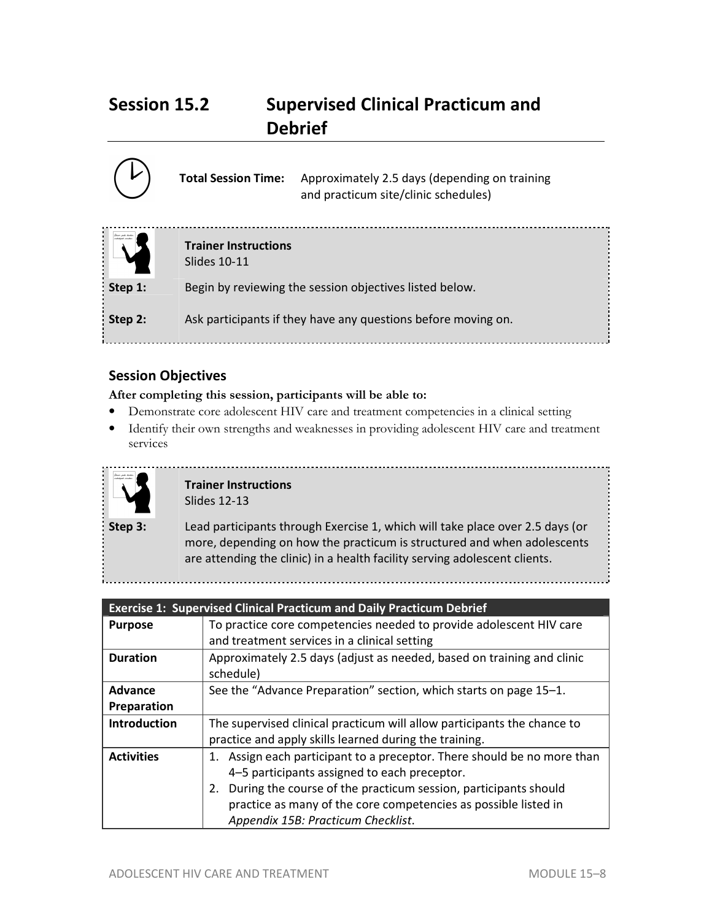## **Session 15.2 Supervised Clinical Practicum and Debrief**

|         | <b>Total Session Time:</b><br>Approximately 2.5 days (depending on training<br>and practicum site/clinic schedules) |
|---------|---------------------------------------------------------------------------------------------------------------------|
|         | <b>Trainer Instructions</b><br>Slides 10-11                                                                         |
| Step 1: | Begin by reviewing the session objectives listed below.                                                             |
| Step 2: | Ask participants if they have any questions before moving on.                                                       |

## **Session Objectives**

#### **After completing this session, participants will be able to:**

- Demonstrate core adolescent HIV care and treatment competencies in a clinical setting
- Identify their own strengths and weaknesses in providing adolescent HIV care and treatment services



#### **Trainer Instructions**  Slides 12-13

**Step 3:** Lead participants through Exercise 1, which will take place over 2.5 days (or more, depending on how the practicum is structured and when adolescents are attending the clinic) in a health facility serving adolescent clients.

|                     | <b>Exercise 1: Supervised Clinical Practicum and Daily Practicum Debrief</b>        |
|---------------------|-------------------------------------------------------------------------------------|
| <b>Purpose</b>      | To practice core competencies needed to provide adolescent HIV care                 |
|                     | and treatment services in a clinical setting                                        |
| <b>Duration</b>     | Approximately 2.5 days (adjust as needed, based on training and clinic<br>schedule) |
| Advance             | See the "Advance Preparation" section, which starts on page 15–1.                   |
| Preparation         |                                                                                     |
| <b>Introduction</b> | The supervised clinical practicum will allow participants the chance to             |
|                     | practice and apply skills learned during the training.                              |
| <b>Activities</b>   | 1. Assign each participant to a preceptor. There should be no more than             |
|                     | 4-5 participants assigned to each preceptor.                                        |
|                     | During the course of the practicum session, participants should<br>2.               |
|                     | practice as many of the core competencies as possible listed in                     |
|                     | Appendix 15B: Practicum Checklist.                                                  |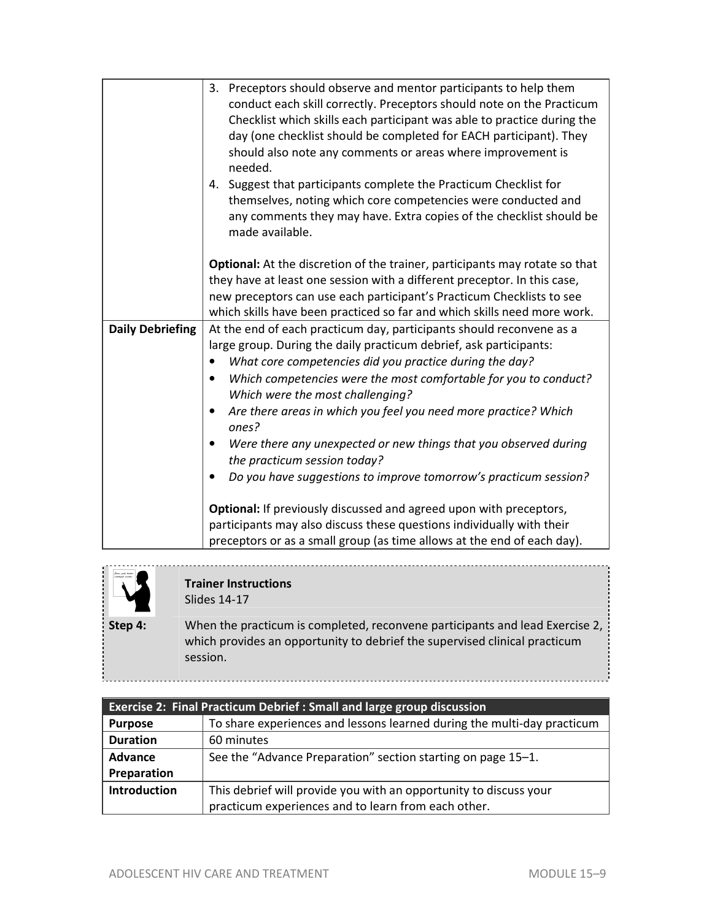|                         | 3. Preceptors should observe and mentor participants to help them<br>conduct each skill correctly. Preceptors should note on the Practicum<br>Checklist which skills each participant was able to practice during the<br>day (one checklist should be completed for EACH participant). They<br>should also note any comments or areas where improvement is<br>needed.<br>4. Suggest that participants complete the Practicum Checklist for<br>themselves, noting which core competencies were conducted and<br>any comments they may have. Extra copies of the checklist should be<br>made available. |
|-------------------------|-------------------------------------------------------------------------------------------------------------------------------------------------------------------------------------------------------------------------------------------------------------------------------------------------------------------------------------------------------------------------------------------------------------------------------------------------------------------------------------------------------------------------------------------------------------------------------------------------------|
|                         | Optional: At the discretion of the trainer, participants may rotate so that                                                                                                                                                                                                                                                                                                                                                                                                                                                                                                                           |
|                         | they have at least one session with a different preceptor. In this case,                                                                                                                                                                                                                                                                                                                                                                                                                                                                                                                              |
|                         | new preceptors can use each participant's Practicum Checklists to see                                                                                                                                                                                                                                                                                                                                                                                                                                                                                                                                 |
|                         | which skills have been practiced so far and which skills need more work.                                                                                                                                                                                                                                                                                                                                                                                                                                                                                                                              |
| <b>Daily Debriefing</b> | At the end of each practicum day, participants should reconvene as a                                                                                                                                                                                                                                                                                                                                                                                                                                                                                                                                  |
|                         | large group. During the daily practicum debrief, ask participants:                                                                                                                                                                                                                                                                                                                                                                                                                                                                                                                                    |
|                         | What core competencies did you practice during the day?                                                                                                                                                                                                                                                                                                                                                                                                                                                                                                                                               |
|                         | Which competencies were the most comfortable for you to conduct?<br>$\bullet$<br>Which were the most challenging?                                                                                                                                                                                                                                                                                                                                                                                                                                                                                     |
|                         | Are there areas in which you feel you need more practice? Which<br>٠<br>ones?                                                                                                                                                                                                                                                                                                                                                                                                                                                                                                                         |
|                         | Were there any unexpected or new things that you observed during<br>٠                                                                                                                                                                                                                                                                                                                                                                                                                                                                                                                                 |
|                         | the practicum session today?                                                                                                                                                                                                                                                                                                                                                                                                                                                                                                                                                                          |
|                         | Do you have suggestions to improve tomorrow's practicum session?                                                                                                                                                                                                                                                                                                                                                                                                                                                                                                                                      |
|                         | Optional: If previously discussed and agreed upon with preceptors,                                                                                                                                                                                                                                                                                                                                                                                                                                                                                                                                    |
|                         | participants may also discuss these questions individually with their                                                                                                                                                                                                                                                                                                                                                                                                                                                                                                                                 |
|                         | preceptors or as a small group (as time allows at the end of each day).                                                                                                                                                                                                                                                                                                                                                                                                                                                                                                                               |



÷.

#### **Trainer Instructions**  Slides 14-17

**Step 4:** When the practicum is completed, reconvene participants and lead Exercise 2, which provides an opportunity to debrief the supervised clinical practicum session.

.............................

| <b>Exercise 2: Final Practicum Debrief : Small and large group discussion</b> |                                                                         |  |  |  |  |  |
|-------------------------------------------------------------------------------|-------------------------------------------------------------------------|--|--|--|--|--|
| <b>Purpose</b>                                                                | To share experiences and lessons learned during the multi-day practicum |  |  |  |  |  |
| <b>Duration</b>                                                               | 60 minutes                                                              |  |  |  |  |  |
| Advance                                                                       | See the "Advance Preparation" section starting on page 15–1.            |  |  |  |  |  |
| Preparation                                                                   |                                                                         |  |  |  |  |  |
| Introduction                                                                  | This debrief will provide you with an opportunity to discuss your       |  |  |  |  |  |
|                                                                               | practicum experiences and to learn from each other.                     |  |  |  |  |  |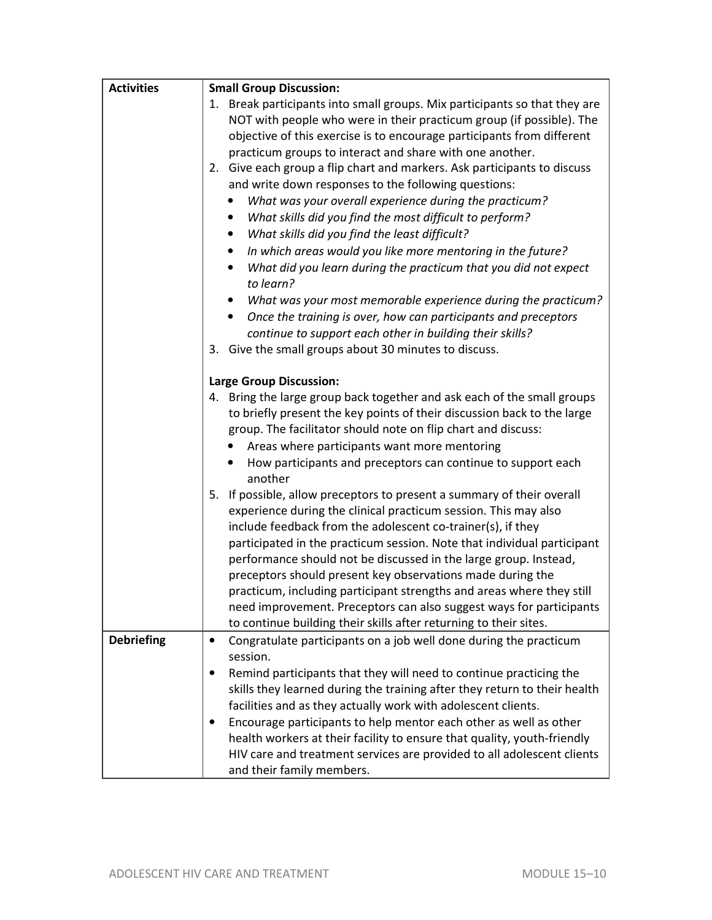| <b>Activities</b> | <b>Small Group Discussion:</b>                                                 |
|-------------------|--------------------------------------------------------------------------------|
|                   | 1. Break participants into small groups. Mix participants so that they are     |
|                   | NOT with people who were in their practicum group (if possible). The           |
|                   | objective of this exercise is to encourage participants from different         |
|                   | practicum groups to interact and share with one another.                       |
|                   | 2. Give each group a flip chart and markers. Ask participants to discuss       |
|                   | and write down responses to the following questions:                           |
|                   | What was your overall experience during the practicum?                         |
|                   | What skills did you find the most difficult to perform?<br>٠                   |
|                   | What skills did you find the least difficult?                                  |
|                   | In which areas would you like more mentoring in the future?<br>$\bullet$       |
|                   | What did you learn during the practicum that you did not expect                |
|                   | to learn?                                                                      |
|                   | What was your most memorable experience during the practicum?<br>$\bullet$     |
|                   | Once the training is over, how can participants and preceptors<br>$\bullet$    |
|                   | continue to support each other in building their skills?                       |
|                   | 3. Give the small groups about 30 minutes to discuss.                          |
|                   |                                                                                |
|                   | <b>Large Group Discussion:</b>                                                 |
|                   | 4. Bring the large group back together and ask each of the small groups        |
|                   | to briefly present the key points of their discussion back to the large        |
|                   | group. The facilitator should note on flip chart and discuss:                  |
|                   | Areas where participants want more mentoring                                   |
|                   | How participants and preceptors can continue to support each                   |
|                   | another                                                                        |
|                   | 5. If possible, allow preceptors to present a summary of their overall         |
|                   | experience during the clinical practicum session. This may also                |
|                   | include feedback from the adolescent co-trainer(s), if they                    |
|                   | participated in the practicum session. Note that individual participant        |
|                   | performance should not be discussed in the large group. Instead,               |
|                   | preceptors should present key observations made during the                     |
|                   | practicum, including participant strengths and areas where they still          |
|                   | need improvement. Preceptors can also suggest ways for participants            |
|                   | to continue building their skills after returning to their sites.              |
| <b>Debriefing</b> | Congratulate participants on a job well done during the practicum<br>$\bullet$ |
|                   | session.                                                                       |
|                   | Remind participants that they will need to continue practicing the             |
|                   | skills they learned during the training after they return to their health      |
|                   | facilities and as they actually work with adolescent clients.                  |
|                   | Encourage participants to help mentor each other as well as other<br>٠         |
|                   | health workers at their facility to ensure that quality, youth-friendly        |
|                   | HIV care and treatment services are provided to all adolescent clients         |
|                   | and their family members.                                                      |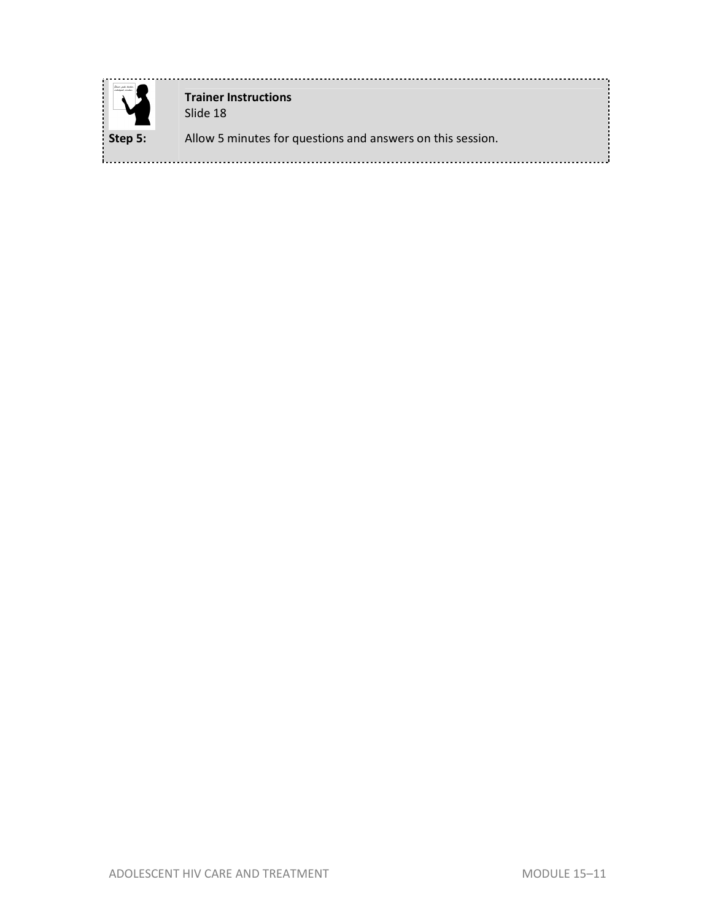

**Trainer Instructions**  Slide 18

**Step 5:** Allow 5 minutes for questions and answers on this session.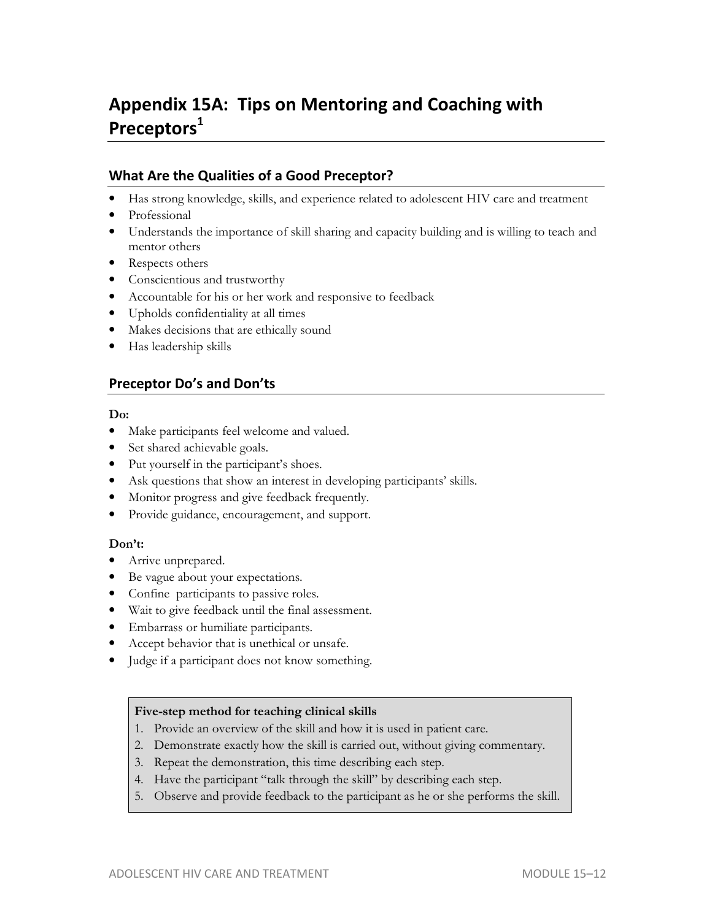## **Appendix 15A: Tips on Mentoring and Coaching with Preceptors<sup>1</sup>**

## **What Are the Qualities of a Good Preceptor?**

- Has strong knowledge, skills, and experience related to adolescent HIV care and treatment
- Professional
- Understands the importance of skill sharing and capacity building and is willing to teach and mentor others
- Respects others
- Conscientious and trustworthy
- Accountable for his or her work and responsive to feedback
- Upholds confidentiality at all times
- Makes decisions that are ethically sound
- Has leadership skills

### **Preceptor Do's and Don'ts**

#### **Do:**

- Make participants feel welcome and valued.
- Set shared achievable goals.
- Put yourself in the participant's shoes.
- Ask questions that show an interest in developing participants' skills.
- Monitor progress and give feedback frequently.
- Provide guidance, encouragement, and support.

#### **Don't:**

- Arrive unprepared.
- Be vague about your expectations.
- Confine participants to passive roles.
- Wait to give feedback until the final assessment.
- Embarrass or humiliate participants.
- Accept behavior that is unethical or unsafe.
- Judge if a participant does not know something.

#### **Five-step method for teaching clinical skills**

- 1. Provide an overview of the skill and how it is used in patient care.
- 2. Demonstrate exactly how the skill is carried out, without giving commentary.
- 3. Repeat the demonstration, this time describing each step.
- 4. Have the participant "talk through the skill" by describing each step.
- 5. Observe and provide feedback to the participant as he or she performs the skill.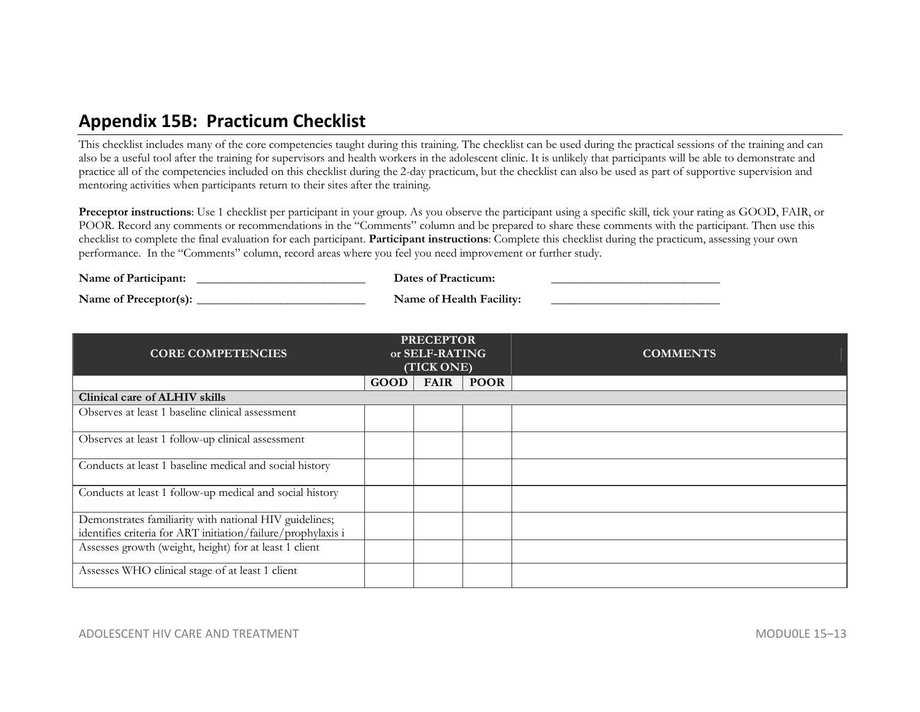## **Appendix 15B: Practicum Checklist**

This checklist includes many of the core competencies taught during this training. The checklist can be used during the practical sessions of the training and can also be a useful tool after the training for supervisors and health workers in the adolescent clinic. It is unlikely that participants will be able to demonstrate and practice all of the competencies included on this checklist during the 2-day practicum, but the checklist can also be used as part of supportive supervision and mentoring activities when participants return to their sites after the training.

**Preceptor instructions**: Use 1 checklist per participant in your group. As you observe the participant using a specific skill, tick your rating as GOOD, FAIR, or POOR. Record any comments or recommendations in the "Comments" column and be prepared to share these comments with the participant. Then use this checklist to complete the final evaluation for each participant. **Participant instructions**: Complete this checklist during the practicum, assessing your own performance. In the "Comments" column, record areas where you feel you need improvement or further study.

| Name of Participant:  | Dates of Practicum:      |  |
|-----------------------|--------------------------|--|
| Name of Preceptor(s): | Name of Health Facility: |  |

|                                                                                                                        |             | <b>PRECEPTOR</b> |             |                 |
|------------------------------------------------------------------------------------------------------------------------|-------------|------------------|-------------|-----------------|
| <b>CORE COMPETENCIES</b>                                                                                               |             | or SELF-RATING   |             | <b>COMMENTS</b> |
|                                                                                                                        | (TICK ONE)  |                  |             |                 |
|                                                                                                                        | <b>GOOD</b> | <b>FAIR</b>      | <b>POOR</b> |                 |
| <b>Clinical care of ALHIV skills</b>                                                                                   |             |                  |             |                 |
| Observes at least 1 baseline clinical assessment                                                                       |             |                  |             |                 |
| Observes at least 1 follow-up clinical assessment                                                                      |             |                  |             |                 |
| Conducts at least 1 baseline medical and social history                                                                |             |                  |             |                 |
| Conducts at least 1 follow-up medical and social history                                                               |             |                  |             |                 |
| Demonstrates familiarity with national HIV guidelines;<br>identifies criteria for ART initiation/failure/prophylaxis i |             |                  |             |                 |
|                                                                                                                        |             |                  |             |                 |
| Assesses growth (weight, height) for at least 1 client                                                                 |             |                  |             |                 |
| Assesses WHO clinical stage of at least 1 client                                                                       |             |                  |             |                 |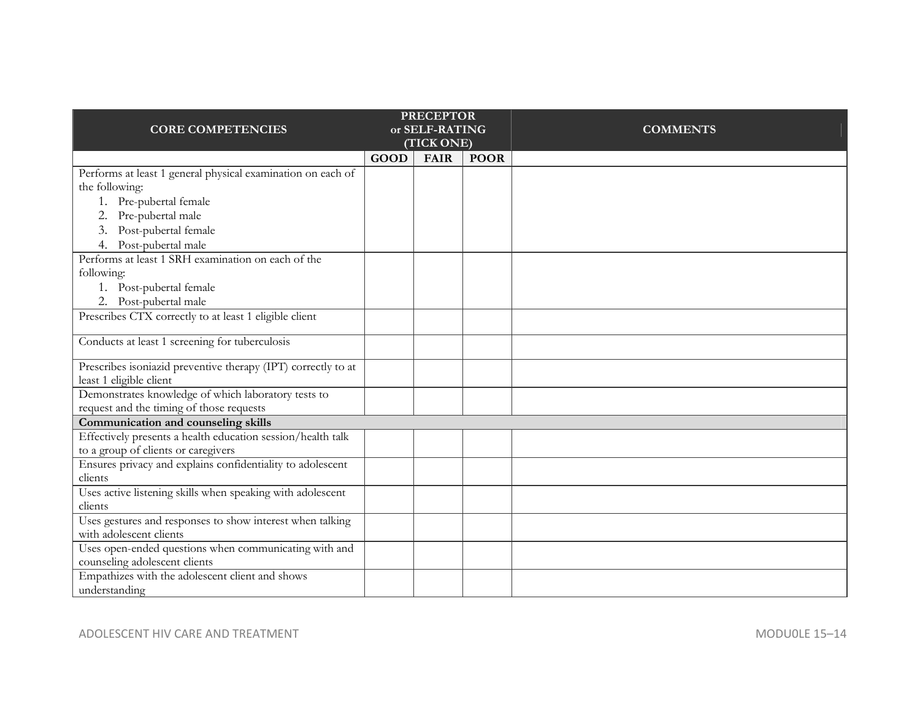|                                                                                        |            | <b>PRECEPTOR</b> |             |                 |
|----------------------------------------------------------------------------------------|------------|------------------|-------------|-----------------|
| <b>CORE COMPETENCIES</b>                                                               |            | or SELF-RATING   |             | <b>COMMENTS</b> |
|                                                                                        | (TICK ONE) |                  |             |                 |
|                                                                                        | GOOD       | <b>FAIR</b>      | <b>POOR</b> |                 |
| Performs at least 1 general physical examination on each of                            |            |                  |             |                 |
| the following:                                                                         |            |                  |             |                 |
| 1. Pre-pubertal female                                                                 |            |                  |             |                 |
| 2. Pre-pubertal male                                                                   |            |                  |             |                 |
| 3. Post-pubertal female                                                                |            |                  |             |                 |
| 4. Post-pubertal male                                                                  |            |                  |             |                 |
| Performs at least 1 SRH examination on each of the                                     |            |                  |             |                 |
| following:                                                                             |            |                  |             |                 |
| 1. Post-pubertal female                                                                |            |                  |             |                 |
| 2. Post-pubertal male                                                                  |            |                  |             |                 |
| Prescribes CTX correctly to at least 1 eligible client                                 |            |                  |             |                 |
| Conducts at least 1 screening for tuberculosis                                         |            |                  |             |                 |
| Prescribes isoniazid preventive therapy (IPT) correctly to at                          |            |                  |             |                 |
| least 1 eligible client                                                                |            |                  |             |                 |
| Demonstrates knowledge of which laboratory tests to                                    |            |                  |             |                 |
| request and the timing of those requests                                               |            |                  |             |                 |
| Communication and counseling skills                                                    |            |                  |             |                 |
| Effectively presents a health education session/health talk                            |            |                  |             |                 |
| to a group of clients or caregivers                                                    |            |                  |             |                 |
| Ensures privacy and explains confidentiality to adolescent                             |            |                  |             |                 |
| clients                                                                                |            |                  |             |                 |
| Uses active listening skills when speaking with adolescent                             |            |                  |             |                 |
| clients                                                                                |            |                  |             |                 |
| Uses gestures and responses to show interest when talking                              |            |                  |             |                 |
| with adolescent clients                                                                |            |                  |             |                 |
| Uses open-ended questions when communicating with and<br>counseling adolescent clients |            |                  |             |                 |
| Empathizes with the adolescent client and shows                                        |            |                  |             |                 |
| understanding                                                                          |            |                  |             |                 |
|                                                                                        |            |                  |             |                 |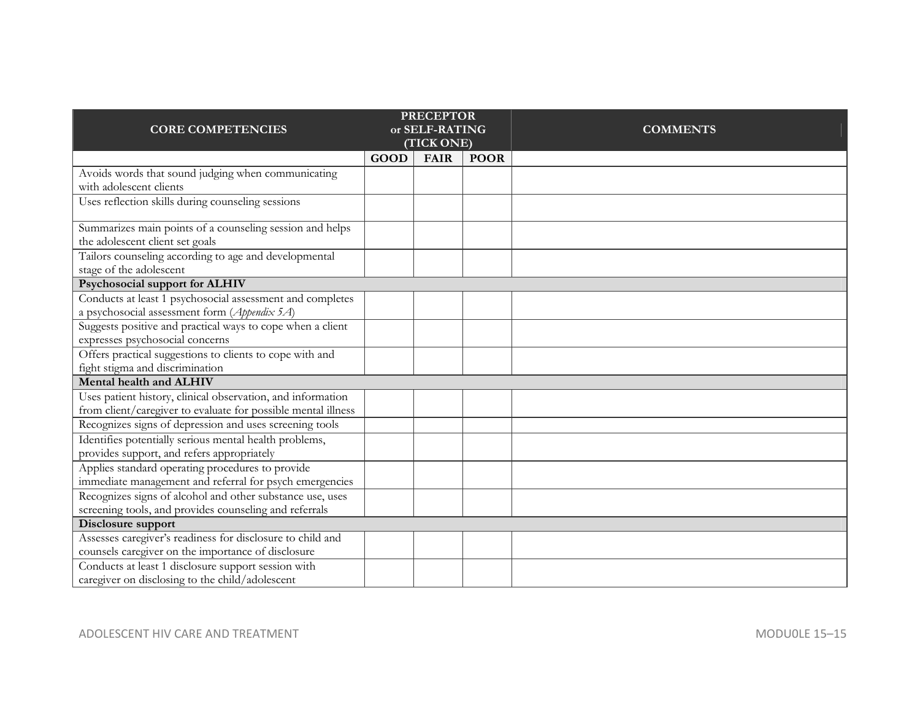|                                                               |             | <b>PRECEPTOR</b> |             |                 |
|---------------------------------------------------------------|-------------|------------------|-------------|-----------------|
| <b>CORE COMPETENCIES</b>                                      |             | or SELF-RATING   |             | <b>COMMENTS</b> |
|                                                               | (TICK ONE)  |                  |             |                 |
|                                                               | <b>GOOD</b> | <b>FAIR</b>      | <b>POOR</b> |                 |
| Avoids words that sound judging when communicating            |             |                  |             |                 |
| with adolescent clients                                       |             |                  |             |                 |
| Uses reflection skills during counseling sessions             |             |                  |             |                 |
|                                                               |             |                  |             |                 |
| Summarizes main points of a counseling session and helps      |             |                  |             |                 |
| the adolescent client set goals                               |             |                  |             |                 |
| Tailors counseling according to age and developmental         |             |                  |             |                 |
| stage of the adolescent                                       |             |                  |             |                 |
| Psychosocial support for ALHIV                                |             |                  |             |                 |
| Conducts at least 1 psychosocial assessment and completes     |             |                  |             |                 |
| a psychosocial assessment form (Appendix 5A)                  |             |                  |             |                 |
| Suggests positive and practical ways to cope when a client    |             |                  |             |                 |
| expresses psychosocial concerns                               |             |                  |             |                 |
| Offers practical suggestions to clients to cope with and      |             |                  |             |                 |
| fight stigma and discrimination                               |             |                  |             |                 |
| Mental health and ALHIV                                       |             |                  |             |                 |
| Uses patient history, clinical observation, and information   |             |                  |             |                 |
| from client/caregiver to evaluate for possible mental illness |             |                  |             |                 |
| Recognizes signs of depression and uses screening tools       |             |                  |             |                 |
| Identifies potentially serious mental health problems,        |             |                  |             |                 |
| provides support, and refers appropriately                    |             |                  |             |                 |
| Applies standard operating procedures to provide              |             |                  |             |                 |
| immediate management and referral for psych emergencies       |             |                  |             |                 |
| Recognizes signs of alcohol and other substance use, uses     |             |                  |             |                 |
| screening tools, and provides counseling and referrals        |             |                  |             |                 |
| Disclosure support                                            |             |                  |             |                 |
| Assesses caregiver's readiness for disclosure to child and    |             |                  |             |                 |
| counsels caregiver on the importance of disclosure            |             |                  |             |                 |
| Conducts at least 1 disclosure support session with           |             |                  |             |                 |
| caregiver on disclosing to the child/adolescent               |             |                  |             |                 |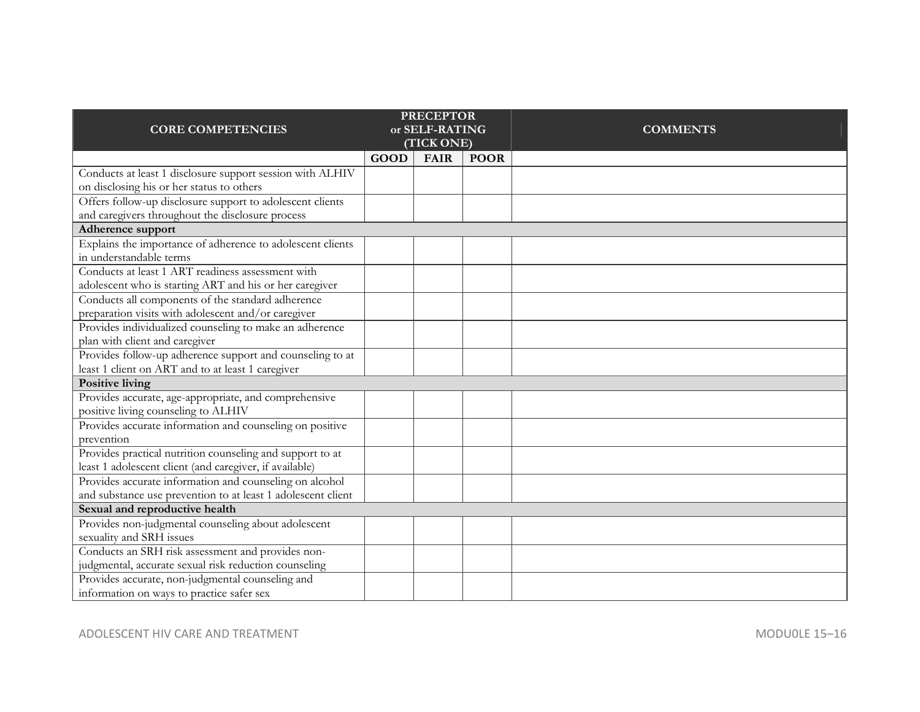|                                                              |                | <b>PRECEPTOR</b> |             |                 |
|--------------------------------------------------------------|----------------|------------------|-------------|-----------------|
| <b>CORE COMPETENCIES</b>                                     | or SELF-RATING |                  |             | <b>COMMENTS</b> |
|                                                              | (TICK ONE)     |                  |             |                 |
|                                                              | <b>GOOD</b>    | <b>FAIR</b>      | <b>POOR</b> |                 |
| Conducts at least 1 disclosure support session with ALHIV    |                |                  |             |                 |
| on disclosing his or her status to others                    |                |                  |             |                 |
| Offers follow-up disclosure support to adolescent clients    |                |                  |             |                 |
| and caregivers throughout the disclosure process             |                |                  |             |                 |
| Adherence support                                            |                |                  |             |                 |
| Explains the importance of adherence to adolescent clients   |                |                  |             |                 |
| in understandable terms                                      |                |                  |             |                 |
| Conducts at least 1 ART readiness assessment with            |                |                  |             |                 |
| adolescent who is starting ART and his or her caregiver      |                |                  |             |                 |
| Conducts all components of the standard adherence            |                |                  |             |                 |
| preparation visits with adolescent and/or caregiver          |                |                  |             |                 |
| Provides individualized counseling to make an adherence      |                |                  |             |                 |
| plan with client and caregiver                               |                |                  |             |                 |
| Provides follow-up adherence support and counseling to at    |                |                  |             |                 |
| least 1 client on ART and to at least 1 caregiver            |                |                  |             |                 |
| Positive living                                              |                |                  |             |                 |
| Provides accurate, age-appropriate, and comprehensive        |                |                  |             |                 |
| positive living counseling to ALHIV                          |                |                  |             |                 |
| Provides accurate information and counseling on positive     |                |                  |             |                 |
| prevention                                                   |                |                  |             |                 |
| Provides practical nutrition counseling and support to at    |                |                  |             |                 |
| least 1 adolescent client (and caregiver, if available)      |                |                  |             |                 |
| Provides accurate information and counseling on alcohol      |                |                  |             |                 |
| and substance use prevention to at least 1 adolescent client |                |                  |             |                 |
| Sexual and reproductive health                               |                |                  |             |                 |
| Provides non-judgmental counseling about adolescent          |                |                  |             |                 |
| sexuality and SRH issues                                     |                |                  |             |                 |
| Conducts an SRH risk assessment and provides non-            |                |                  |             |                 |
| judgmental, accurate sexual risk reduction counseling        |                |                  |             |                 |
| Provides accurate, non-judgmental counseling and             |                |                  |             |                 |
| information on ways to practice safer sex                    |                |                  |             |                 |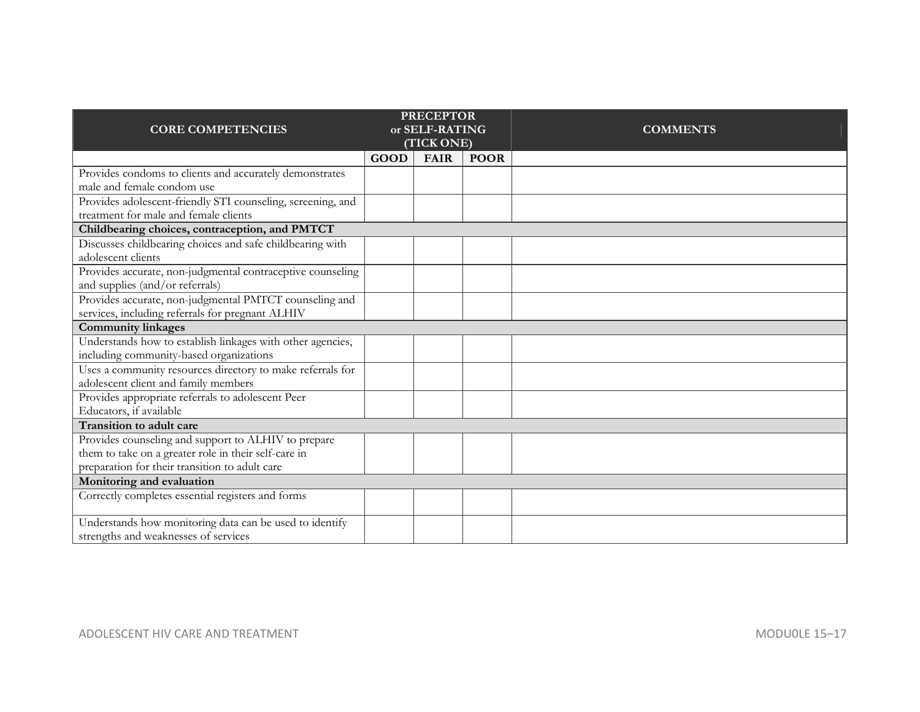| <b>PRECEPTOR</b>                                            |                |             |                 |  |
|-------------------------------------------------------------|----------------|-------------|-----------------|--|
| <b>CORE COMPETENCIES</b>                                    | or SELF-RATING |             | <b>COMMENTS</b> |  |
|                                                             | (TICK ONE)     |             |                 |  |
|                                                             | <b>GOOD</b>    | <b>FAIR</b> | <b>POOR</b>     |  |
| Provides condoms to clients and accurately demonstrates     |                |             |                 |  |
| male and female condom use                                  |                |             |                 |  |
| Provides adolescent-friendly STI counseling, screening, and |                |             |                 |  |
| treatment for male and female clients                       |                |             |                 |  |
| Childbearing choices, contraception, and PMTCT              |                |             |                 |  |
| Discusses childbearing choices and safe childbearing with   |                |             |                 |  |
| adolescent clients                                          |                |             |                 |  |
| Provides accurate, non-judgmental contraceptive counseling  |                |             |                 |  |
| and supplies (and/or referrals)                             |                |             |                 |  |
| Provides accurate, non-judgmental PMTCT counseling and      |                |             |                 |  |
| services, including referrals for pregnant ALHIV            |                |             |                 |  |
| <b>Community linkages</b>                                   |                |             |                 |  |
| Understands how to establish linkages with other agencies,  |                |             |                 |  |
| including community-based organizations                     |                |             |                 |  |
| Uses a community resources directory to make referrals for  |                |             |                 |  |
| adolescent client and family members                        |                |             |                 |  |
| Provides appropriate referrals to adolescent Peer           |                |             |                 |  |
| Educators, if available                                     |                |             |                 |  |
| Transition to adult care                                    |                |             |                 |  |
| Provides counseling and support to ALHIV to prepare         |                |             |                 |  |
| them to take on a greater role in their self-care in        |                |             |                 |  |
| preparation for their transition to adult care              |                |             |                 |  |
| Monitoring and evaluation                                   |                |             |                 |  |
| Correctly completes essential registers and forms           |                |             |                 |  |
| Understands how monitoring data can be used to identify     |                |             |                 |  |
| strengths and weaknesses of services                        |                |             |                 |  |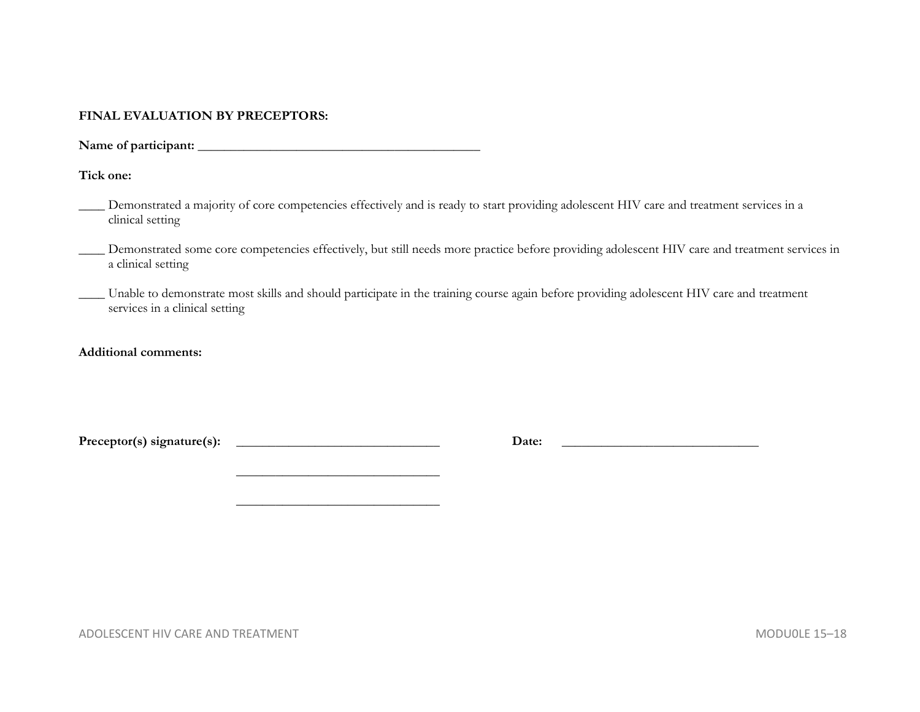#### **FINAL EVALUATION BY PRECEPTORS:**

**Name of participant: \_\_\_\_\_\_\_\_\_\_\_\_\_\_\_\_\_\_\_\_\_\_\_\_\_\_\_\_\_\_\_\_\_\_\_\_\_\_\_\_\_\_\_** 

 **\_\_\_\_\_\_\_\_\_\_\_\_\_\_\_\_\_\_\_\_\_\_\_\_\_\_\_\_\_\_\_** 

**Tick one:** 

| Demonstrated a majority of core competencies effectively and is ready to start providing adolescent HIV care and treatment services in a |
|------------------------------------------------------------------------------------------------------------------------------------------|
| clinical setting                                                                                                                         |

Demonstrated some core competencies effectively, but still needs more practice before providing adolescent HIV care and treatment services in a clinical setting

\_\_\_\_ Unable to demonstrate most skills and should participate in the training course again before providing adolescent HIV care and treatment services in a clinical setting

**Additional comments:** 

**Preceptor(s) signature(s): \_\_\_\_\_\_\_\_\_\_\_\_\_\_\_\_\_\_\_\_\_\_\_\_\_\_\_\_\_\_\_ Date: \_\_\_\_\_\_\_\_\_\_\_\_\_\_\_\_\_\_\_\_\_\_\_\_\_\_\_\_\_\_** 

ADOLESCENT HIV CARE AND TREATMENT NOTICE AND THE SERVICE 15-18